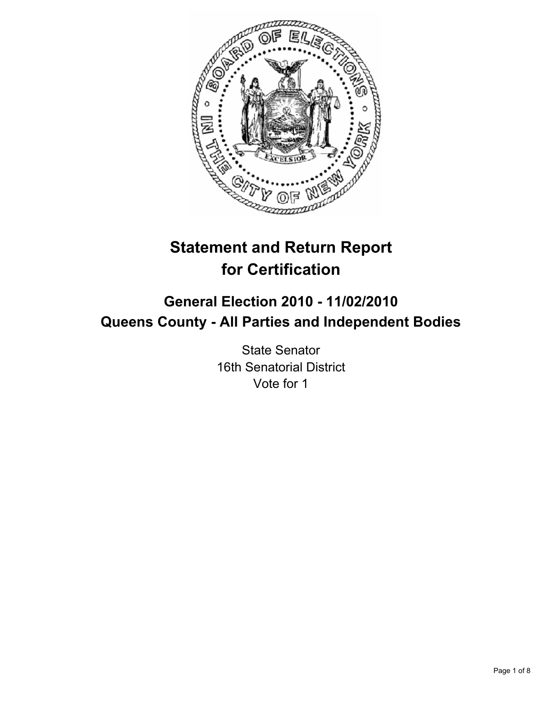

# **Statement and Return Report for Certification**

## **General Election 2010 - 11/02/2010 Queens County - All Parties and Independent Bodies**

State Senator 16th Senatorial District Vote for 1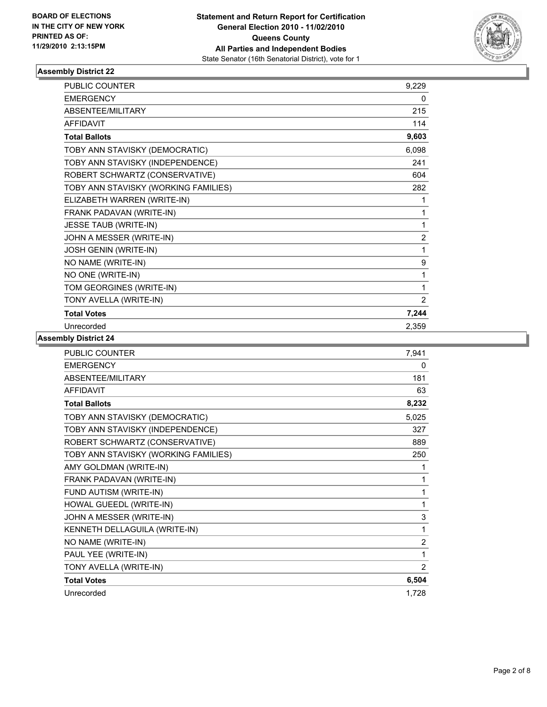

| <b>PUBLIC COUNTER</b>                | 9,229          |
|--------------------------------------|----------------|
| <b>EMERGENCY</b>                     | 0              |
| ABSENTEE/MILITARY                    | 215            |
| <b>AFFIDAVIT</b>                     | 114            |
| <b>Total Ballots</b>                 | 9,603          |
| TOBY ANN STAVISKY (DEMOCRATIC)       | 6,098          |
| TOBY ANN STAVISKY (INDEPENDENCE)     | 241            |
| ROBERT SCHWARTZ (CONSERVATIVE)       | 604            |
| TOBY ANN STAVISKY (WORKING FAMILIES) | 282            |
| ELIZABETH WARREN (WRITE-IN)          | 1              |
| FRANK PADAVAN (WRITE-IN)             | 1              |
| <b>JESSE TAUB (WRITE-IN)</b>         | 1              |
| JOHN A MESSER (WRITE-IN)             | $\overline{2}$ |
| JOSH GENIN (WRITE-IN)                | 1              |
| NO NAME (WRITE-IN)                   | 9              |
| NO ONE (WRITE-IN)                    | 1              |
| TOM GEORGINES (WRITE-IN)             | 1              |
| TONY AVELLA (WRITE-IN)               | 2              |
| <b>Total Votes</b>                   | 7,244          |
| Unrecorded                           | 2,359          |

| <b>PUBLIC COUNTER</b>                | 7,941          |
|--------------------------------------|----------------|
| <b>EMERGENCY</b>                     | $\mathbf{0}$   |
| ABSENTEE/MILITARY                    | 181            |
| <b>AFFIDAVIT</b>                     | 63             |
| <b>Total Ballots</b>                 | 8,232          |
| TOBY ANN STAVISKY (DEMOCRATIC)       | 5,025          |
| TOBY ANN STAVISKY (INDEPENDENCE)     | 327            |
| ROBERT SCHWARTZ (CONSERVATIVE)       | 889            |
| TOBY ANN STAVISKY (WORKING FAMILIES) | 250            |
| AMY GOLDMAN (WRITE-IN)               | 1              |
| FRANK PADAVAN (WRITE-IN)             | 1              |
| FUND AUTISM (WRITE-IN)               | 1              |
| HOWAL GUEEDL (WRITE-IN)              | 1              |
| JOHN A MESSER (WRITE-IN)             | 3              |
| KENNETH DELLAGUILA (WRITE-IN)        | 1              |
| NO NAME (WRITE-IN)                   | $\overline{2}$ |
| PAUL YEE (WRITE-IN)                  | 1              |
| TONY AVELLA (WRITE-IN)               | 2              |
| <b>Total Votes</b>                   | 6,504          |
| Unrecorded                           | 1,728          |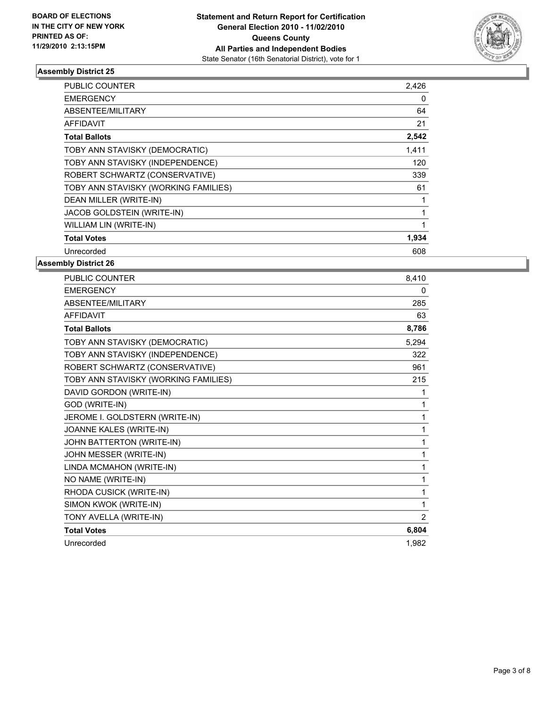

| PUBLIC COUNTER                       | 2,426 |
|--------------------------------------|-------|
| <b>EMERGENCY</b>                     | 0     |
| ABSENTEE/MILITARY                    | 64    |
| <b>AFFIDAVIT</b>                     | 21    |
| <b>Total Ballots</b>                 | 2,542 |
| TOBY ANN STAVISKY (DEMOCRATIC)       | 1,411 |
| TOBY ANN STAVISKY (INDEPENDENCE)     | 120   |
| ROBERT SCHWARTZ (CONSERVATIVE)       | 339   |
| TOBY ANN STAVISKY (WORKING FAMILIES) | 61    |
| DEAN MILLER (WRITE-IN)               | 1     |
| JACOB GOLDSTEIN (WRITE-IN)           | 1     |
| WILLIAM LIN (WRITE-IN)               | 1     |
| <b>Total Votes</b>                   | 1,934 |
| Unrecorded                           | 608   |

| <b>PUBLIC COUNTER</b>                | 8.410          |
|--------------------------------------|----------------|
| <b>EMERGENCY</b>                     | $\mathbf{0}$   |
| ABSENTEE/MILITARY                    | 285            |
| <b>AFFIDAVIT</b>                     | 63             |
| <b>Total Ballots</b>                 | 8,786          |
| TOBY ANN STAVISKY (DEMOCRATIC)       | 5,294          |
| TOBY ANN STAVISKY (INDEPENDENCE)     | 322            |
| ROBERT SCHWARTZ (CONSERVATIVE)       | 961            |
| TOBY ANN STAVISKY (WORKING FAMILIES) | 215            |
| DAVID GORDON (WRITE-IN)              | 1              |
| GOD (WRITE-IN)                       | 1              |
| JEROME I. GOLDSTERN (WRITE-IN)       | 1              |
| JOANNE KALES (WRITE-IN)              | 1              |
| JOHN BATTERTON (WRITE-IN)            | 1              |
| JOHN MESSER (WRITE-IN)               | 1              |
| LINDA MCMAHON (WRITE-IN)             | 1              |
| NO NAME (WRITE-IN)                   | 1              |
| RHODA CUSICK (WRITE-IN)              | 1              |
| SIMON KWOK (WRITE-IN)                | 1              |
| TONY AVELLA (WRITE-IN)               | $\overline{2}$ |
| <b>Total Votes</b>                   | 6,804          |
| Unrecorded                           | 1.982          |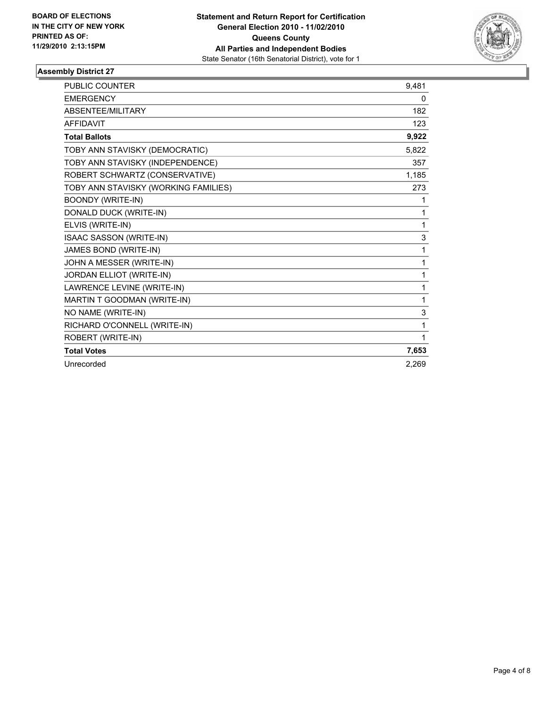

| <b>PUBLIC COUNTER</b>                | 9.481 |
|--------------------------------------|-------|
| <b>EMERGENCY</b>                     | 0     |
| ABSENTEE/MILITARY                    | 182   |
| <b>AFFIDAVIT</b>                     | 123   |
| <b>Total Ballots</b>                 | 9,922 |
| TOBY ANN STAVISKY (DEMOCRATIC)       | 5,822 |
| TOBY ANN STAVISKY (INDEPENDENCE)     | 357   |
| ROBERT SCHWARTZ (CONSERVATIVE)       | 1,185 |
| TOBY ANN STAVISKY (WORKING FAMILIES) | 273   |
| <b>BOONDY (WRITE-IN)</b>             | 1     |
| DONALD DUCK (WRITE-IN)               | 1     |
| ELVIS (WRITE-IN)                     | 1     |
| ISAAC SASSON (WRITE-IN)              | 3     |
| JAMES BOND (WRITE-IN)                | 1     |
| JOHN A MESSER (WRITE-IN)             | 1     |
| JORDAN ELLIOT (WRITE-IN)             | 1     |
| LAWRENCE LEVINE (WRITE-IN)           | 1     |
| MARTIN T GOODMAN (WRITE-IN)          | 1     |
| NO NAME (WRITE-IN)                   | 3     |
| RICHARD O'CONNELL (WRITE-IN)         | 1     |
| ROBERT (WRITE-IN)                    | 1     |
| <b>Total Votes</b>                   | 7,653 |
| Unrecorded                           | 2.269 |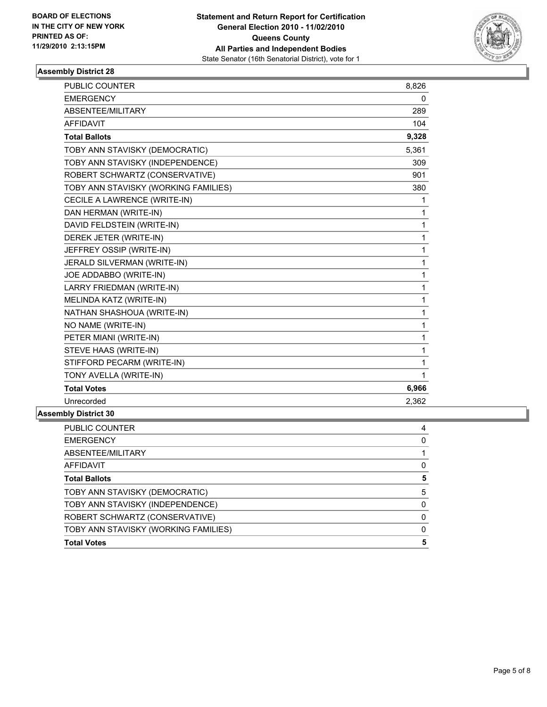

| <b>PUBLIC COUNTER</b>                | 8,826       |
|--------------------------------------|-------------|
| <b>EMERGENCY</b>                     | 0           |
| ABSENTEE/MILITARY                    | 289         |
| <b>AFFIDAVIT</b>                     | 104         |
| <b>Total Ballots</b>                 | 9,328       |
| TOBY ANN STAVISKY (DEMOCRATIC)       | 5,361       |
| TOBY ANN STAVISKY (INDEPENDENCE)     | 309         |
| ROBERT SCHWARTZ (CONSERVATIVE)       | 901         |
| TOBY ANN STAVISKY (WORKING FAMILIES) | 380         |
| CECILE A LAWRENCE (WRITE-IN)         | 1           |
| DAN HERMAN (WRITE-IN)                | 1           |
| DAVID FELDSTEIN (WRITE-IN)           | 1           |
| DEREK JETER (WRITE-IN)               | 1           |
| JEFFREY OSSIP (WRITE-IN)             | 1           |
| JERALD SILVERMAN (WRITE-IN)          | $\mathbf 1$ |
| JOE ADDABBO (WRITE-IN)               | 1           |
| LARRY FRIEDMAN (WRITE-IN)            | 1           |
| MELINDA KATZ (WRITE-IN)              | 1           |
| NATHAN SHASHOUA (WRITE-IN)           | 1           |
| NO NAME (WRITE-IN)                   | 1           |
| PETER MIANI (WRITE-IN)               | 1           |
| STEVE HAAS (WRITE-IN)                | 1           |
| STIFFORD PECARM (WRITE-IN)           | 1           |
| TONY AVELLA (WRITE-IN)               | 1           |
| <b>Total Votes</b>                   | 6,966       |
| Unrecorded                           | 2,362       |
| ۵۸ عماسه در ۱۰۰ سا                   |             |

| 4 |
|---|
| 0 |
|   |
| 0 |
| 5 |
| 5 |
| 0 |
| 0 |
| 0 |
| 5 |
|   |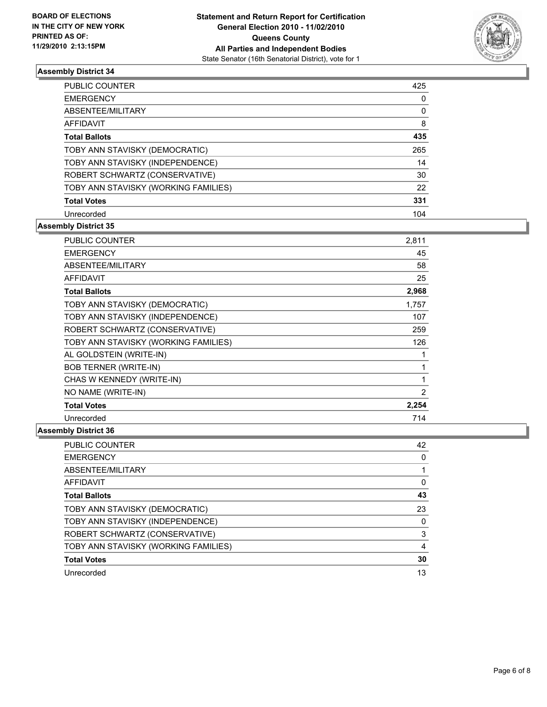

| <b>PUBLIC COUNTER</b>                | 425 |
|--------------------------------------|-----|
| <b>EMERGENCY</b>                     | 0   |
| ABSENTEE/MILITARY                    | 0   |
| <b>AFFIDAVIT</b>                     | 8   |
| <b>Total Ballots</b>                 | 435 |
| TOBY ANN STAVISKY (DEMOCRATIC)       | 265 |
| TOBY ANN STAVISKY (INDEPENDENCE)     | 14  |
| ROBERT SCHWARTZ (CONSERVATIVE)       | 30  |
| TOBY ANN STAVISKY (WORKING FAMILIES) | 22  |
| <b>Total Votes</b>                   | 331 |
| Unrecorded                           | 104 |

## **Assembly District 35**

| <b>PUBLIC COUNTER</b>                | 2,811 |
|--------------------------------------|-------|
| <b>EMERGENCY</b>                     | 45    |
| <b>ABSENTEE/MILITARY</b>             | 58    |
| AFFIDAVIT                            | 25    |
| <b>Total Ballots</b>                 | 2,968 |
| TOBY ANN STAVISKY (DEMOCRATIC)       | 1,757 |
| TOBY ANN STAVISKY (INDEPENDENCE)     | 107   |
| ROBERT SCHWARTZ (CONSERVATIVE)       | 259   |
| TOBY ANN STAVISKY (WORKING FAMILIES) | 126   |
| AL GOLDSTEIN (WRITE-IN)              | 1     |
| <b>BOB TERNER (WRITE-IN)</b>         | 1     |
| CHAS W KENNEDY (WRITE-IN)            | 1     |
| NO NAME (WRITE-IN)                   | 2     |
| <b>Total Votes</b>                   | 2,254 |
| Unrecorded                           | 714   |

| <b>PUBLIC COUNTER</b>                | 42 |
|--------------------------------------|----|
| <b>EMERGENCY</b>                     | 0  |
| ABSENTEE/MILITARY                    |    |
| <b>AFFIDAVIT</b>                     | 0  |
| <b>Total Ballots</b>                 | 43 |
| TOBY ANN STAVISKY (DEMOCRATIC)       | 23 |
| TOBY ANN STAVISKY (INDEPENDENCE)     | 0  |
| ROBERT SCHWARTZ (CONSERVATIVE)       | 3  |
| TOBY ANN STAVISKY (WORKING FAMILIES) | 4  |
| <b>Total Votes</b>                   | 30 |
| Unrecorded                           | 13 |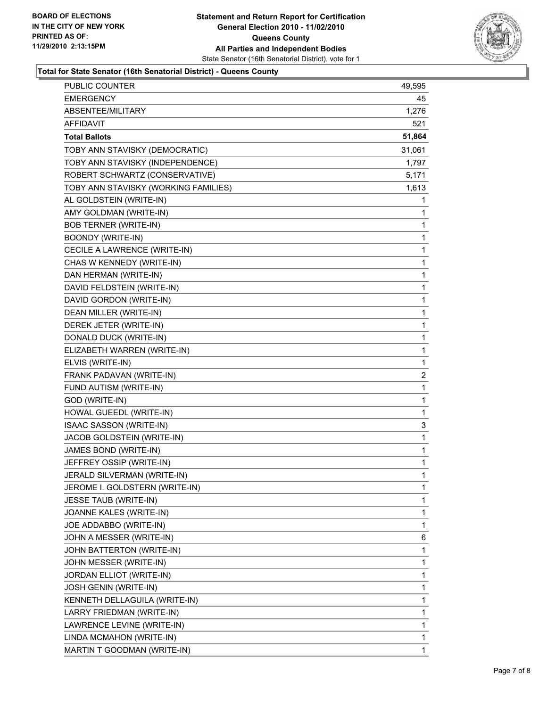

#### **Total for State Senator (16th Senatorial District) - Queens County**

| PUBLIC COUNTER                       | 49,595       |
|--------------------------------------|--------------|
| EMERGENCY                            | 45           |
| ABSENTEE/MILITARY                    | 1,276        |
| AFFIDAVIT                            | 521          |
| <b>Total Ballots</b>                 | 51,864       |
| TOBY ANN STAVISKY (DEMOCRATIC)       | 31,061       |
| TOBY ANN STAVISKY (INDEPENDENCE)     | 1,797        |
| ROBERT SCHWARTZ (CONSERVATIVE)       | 5,171        |
| TOBY ANN STAVISKY (WORKING FAMILIES) | 1,613        |
| AL GOLDSTEIN (WRITE-IN)              | 1            |
| AMY GOLDMAN (WRITE-IN)               | 1            |
| <b>BOB TERNER (WRITE-IN)</b>         | 1            |
| <b>BOONDY (WRITE-IN)</b>             | 1            |
| CECILE A LAWRENCE (WRITE-IN)         | $\mathbf{1}$ |
| CHAS W KENNEDY (WRITE-IN)            | 1            |
| DAN HERMAN (WRITE-IN)                | 1            |
| DAVID FELDSTEIN (WRITE-IN)           | $\mathbf{1}$ |
| DAVID GORDON (WRITE-IN)              | 1            |
| DEAN MILLER (WRITE-IN)               | 1            |
| DEREK JETER (WRITE-IN)               | $\mathbf{1}$ |
| DONALD DUCK (WRITE-IN)               | 1            |
| ELIZABETH WARREN (WRITE-IN)          | 1            |
| ELVIS (WRITE-IN)                     | 1            |
| FRANK PADAVAN (WRITE-IN)             | 2            |
| FUND AUTISM (WRITE-IN)               | 1            |
| GOD (WRITE-IN)                       | $\mathbf{1}$ |
| HOWAL GUEEDL (WRITE-IN)              | 1            |
| ISAAC SASSON (WRITE-IN)              | 3            |
| JACOB GOLDSTEIN (WRITE-IN)           | $\mathbf{1}$ |
| JAMES BOND (WRITE-IN)                | 1            |
| JEFFREY OSSIP (WRITE-IN)             | 1            |
| JERALD SILVERMAN (WRITE-IN)          | 1            |
| JEROME I. GOLDSTERN (WRITE-IN)       | 1            |
| JESSE TAUB (WRITE-IN)                | 1            |
| JOANNE KALES (WRITE-IN)              | 1            |
| JOE ADDABBO (WRITE-IN)               | 1            |
| JOHN A MESSER (WRITE-IN)             | 6            |
| JOHN BATTERTON (WRITE-IN)            | 1            |
| JOHN MESSER (WRITE-IN)               | 1            |
| JORDAN ELLIOT (WRITE-IN)             | 1            |
| JOSH GENIN (WRITE-IN)                | $\mathbf{1}$ |
| KENNETH DELLAGUILA (WRITE-IN)        | 1            |
| LARRY FRIEDMAN (WRITE-IN)            | 1            |
| LAWRENCE LEVINE (WRITE-IN)           | $\mathbf{1}$ |
| LINDA MCMAHON (WRITE-IN)             | 1            |
| MARTIN T GOODMAN (WRITE-IN)          | 1            |
|                                      |              |